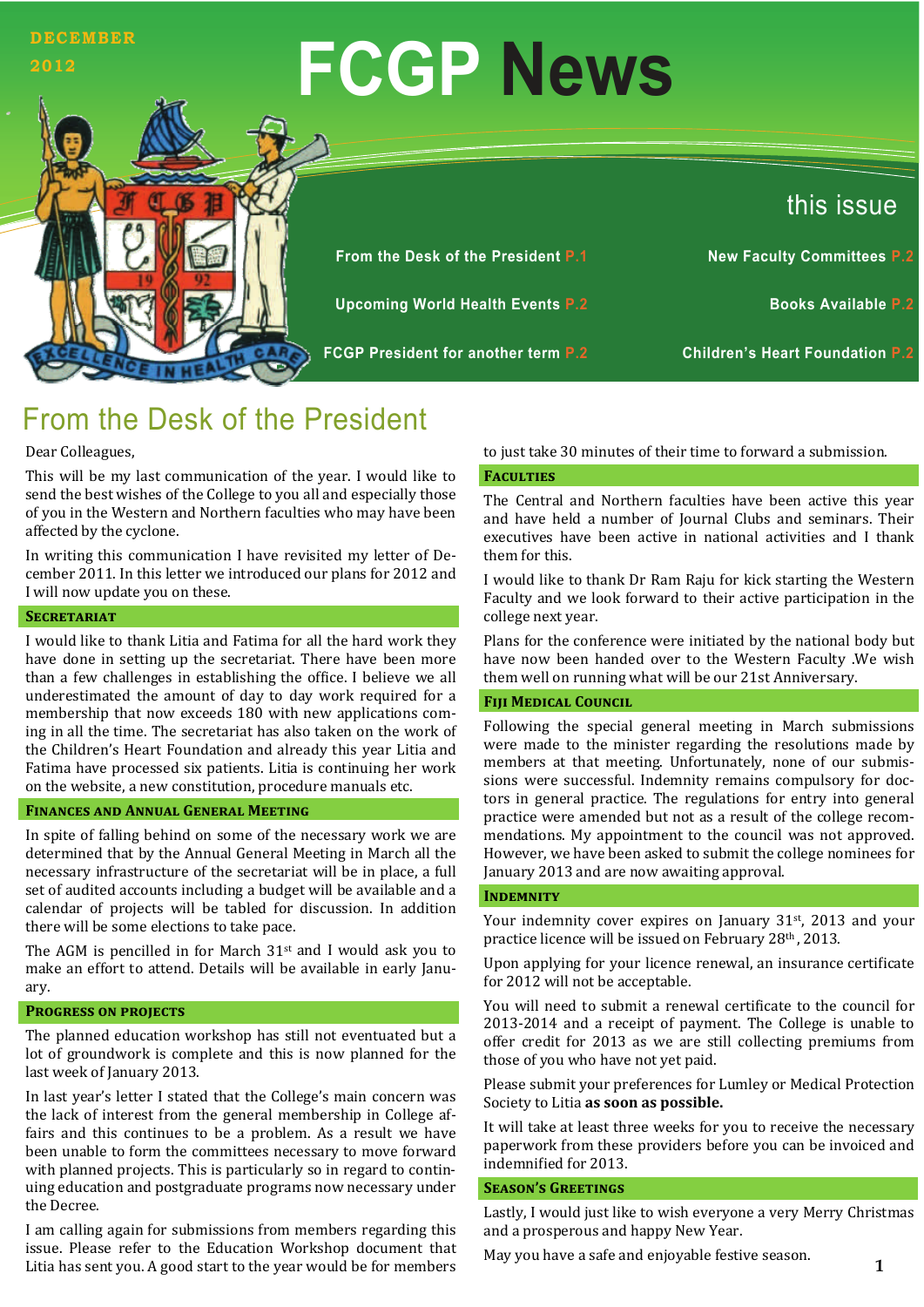# **FCGP News** this issue **DECEMBER 2012 From the Desk of the President P.1 New Faculty Committees P.2 Upcoming World Health Events P.2 Books Available P.2 FCGP President for another term P.2 Children's Heart Foundation P.2**

# From the Desk of the President

#### Dear Colleagues,

This will be my last communication of the year. I would like to send the best wishes of the College to you all and especially those of you in the Western and Northern faculties who may have been affected by the cyclone.

In writing this communication I have revisited my letter of December 2011. In this letter we introduced our plans for 2012 and I will now update you on these.

#### **SECRETARIAT**

I would like to thank Litia and Fatima for all the hard work they have done in setting up the secretariat. There have been more than a few challenges in establishing the office. I believe we all underestimated the amount of day to day work required for a membership that now exceeds 180 with new applications coming in all the time. The secretariat has also taken on the work of the Children's Heart Foundation and already this year Litia and Fatima have processed six patients. Litia is continuing her work on the website, a new constitution, procedure manuals etc.

#### **FINANCES AND ANNUAL GENERAL MEETING**

In spite of falling behind on some of the necessary work we are determined that by the Annual General Meeting in March all the necessary infrastructure of the secretariat will be in place, a full set of audited accounts including a budget will be available and a calendar of projects will be tabled for discussion. In addition there will be some elections to take pace.

The AGM is pencilled in for March  $31<sup>st</sup>$  and I would ask you to make an effort to attend. Details will be available in early January. 

#### **PROGRESS ON PROJECTS**

The planned education workshop has still not eventuated but a lot of groundwork is complete and this is now planned for the last week of January 2013.

In last year's letter I stated that the College's main concern was the lack of interest from the general membership in College affairs and this continues to be a problem. As a result we have been unable to form the committees necessary to move forward with planned projects. This is particularly so in regard to continuing education and postgraduate programs now necessary under the Decree.

I am calling again for submissions from members regarding this issue. Please refer to the Education Workshop document that Litia has sent you. A good start to the year would be for members

to just take 30 minutes of their time to forward a submission.

#### **FACULTIES**

The Central and Northern faculties have been active this year and have held a number of Journal Clubs and seminars. Their executives have been active in national activities and I thank them for this

I would like to thank Dr Ram Raju for kick starting the Western Faculty and we look forward to their active participation in the college next year.

Plans for the conference were initiated by the national body but have now been handed over to the Western Faculty .We wish them well on running what will be our 21st Anniversary.

#### **FIII MEDICAL COUNCIL**

Following the special general meeting in March submissions were made to the minister regarding the resolutions made by members at that meeting. Unfortunately, none of our submissions were successful. Indemnity remains compulsory for doctors in general practice. The regulations for entry into general practice were amended but not as a result of the college recommendations. My appointment to the council was not approved. However, we have been asked to submit the college nominees for January 2013 and are now awaiting approval.

#### **INDEMNITY**

Your indemnity cover expires on January  $31<sup>st</sup>$ , 2013 and your practice licence will be issued on February 28th, 2013.

Upon applying for your licence renewal, an insurance certificate for 2012 will not be acceptable.

You will need to submit a renewal certificate to the council for 2013-2014 and a receipt of payment. The College is unable to offer credit for 2013 as we are still collecting premiums from those of you who have not yet paid.

Please submit vour preferences for Lumley or Medical Protection Society to Litia **as soon as possible.** 

It will take at least three weeks for you to receive the necessary paperwork from these providers before you can be invoiced and indemnified for 2013.

#### $S$ **EASON'S GREETINGS**

Lastly, I would just like to wish everyone a very Merry Christmas and a prosperous and happy New Year.

May you have a safe and enjoyable festive season.